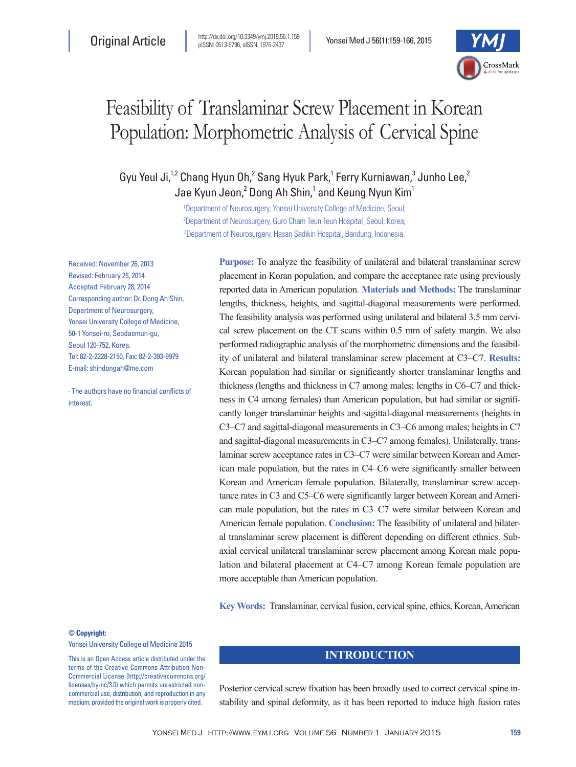

# Feasibility of Translaminar Screw Placement in Korean Population: Morphometric Analysis of Cervical Spine

Gyu Yeul Ji,<sup>1,2</sup> Chang Hyun Oh,<sup>2</sup> Sang Hyuk Park,<sup>1</sup> Ferry Kurniawan,<sup>3</sup> Junho Lee,<sup>2</sup> Jae Kyun Jeon, $^2$  Dong Ah Shin, $^1$  and Keung Nyun Kim $^1$ 

> 1 Department of Neurosurgery, Yonsei University College of Medicine, Seoul; 2 Department of Neurosurgery, Guro Cham Teun Teun Hospital, Seoul, Korea; 3 Department of Neurosurgery, Hasan Sadikin Hospital, Bandung, Indonesia.

Received: November 26, 2013 Revised: February 25, 2014 Accepted: February 28, 2014 Corresponding author: Dr. Dong Ah Shin, Department of Neurosurgery, Yonsei University College of Medicine, 50-1 Yonsei-ro, Seodaemun-gu, Seoul 120-752, Korea. Tel: 82-2-2228-2150, Fax: 82-2-393-9979 E-mail: shindongah@me.com

∙ The authors have no financial conflicts of interest.

**Purpose:** To analyze the feasibility of unilateral and bilateral translaminar screw placement in Koran population, and compare the acceptance rate using previously reported data in American population. **Materials and Methods:** The translaminar lengths, thickness, heights, and sagittal-diagonal measurements were performed. The feasibility analysis was performed using unilateral and bilateral 3.5 mm cervical screw placement on the CT scans within 0.5 mm of safety margin. We also performed radiographic analysis of the morphometric dimensions and the feasibility of unilateral and bilateral translaminar screw placement at C3‒C7. **Results:** Korean population had similar or significantly shorter translaminar lengths and thickness (lengths and thickness in C7 among males; lengths in C6‒C7 and thickness in C4 among females) than American population, but had similar or significantly longer translaminar heights and sagittal-diagonal measurements (heights in C3‒C7 and sagittal-diagonal measurements in C3‒C6 among males; heights in C7 and sagittal-diagonal measurements in C3–C7 among females). Unilaterally, translaminar screw acceptance rates in C3–C7 were similar between Korean and American male population, but the rates in C4‒C6 were significantly smaller between Korean and American female population. Bilaterally, translaminar screw acceptance rates in C3 and C5‒C6 were significantly larger between Korean and American male population, but the rates in C3–C7 were similar between Korean and American female population. **Conclusion:** The feasibility of unilateral and bilateral translaminar screw placement is different depending on different ethnics. Subaxial cervical unilateral translaminar screw placement among Korean male population and bilateral placement at C4‒C7 among Korean female population are more acceptable than American population.

**Key Words:** Translaminar, cervical fusion, cervical spine, ethics, Korean, American

#### **© Copyright:**

Yonsei University College of Medicine 2015

This is an Open Access article distributed under the terms of the Creative Commons Attribution Non-Commercial License (http://creativecommons.org/ licenses/by-nc/3.0) which permits unrestricted noncommercial use, distribution, and reproduction in any medium, provided the original work is properly cited.

## **INTRODUCTION**

Posterior cervical screw fixation has been broadly used to correct cervical spine instability and spinal deformity, as it has been reported to induce high fusion rates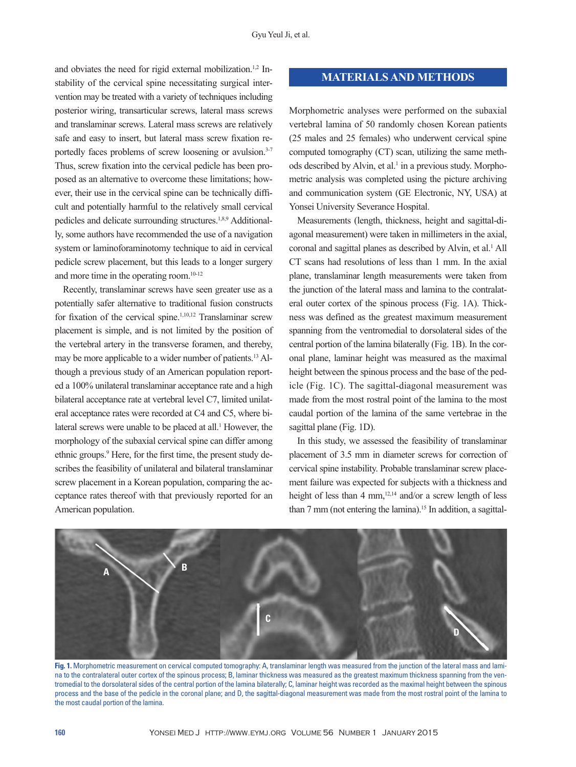and obviates the need for rigid external mobilization.<sup>1,2</sup> Instability of the cervical spine necessitating surgical intervention may be treated with a variety of techniques including posterior wiring, transarticular screws, lateral mass screws and translaminar screws. Lateral mass screws are relatively safe and easy to insert, but lateral mass screw fixation reportedly faces problems of screw loosening or avulsion.<sup>3-7</sup> Thus, screw fixation into the cervical pedicle has been proposed as an alternative to overcome these limitations; however, their use in the cervical spine can be technically difficult and potentially harmful to the relatively small cervical pedicles and delicate surrounding structures.1,8,9 Additionally, some authors have recommended the use of a navigation system or laminoforaminotomy technique to aid in cervical pedicle screw placement, but this leads to a longer surgery and more time in the operating room.10-12

Recently, translaminar screws have seen greater use as a potentially safer alternative to traditional fusion constructs for fixation of the cervical spine.1,10,12 Translaminar screw placement is simple, and is not limited by the position of the vertebral artery in the transverse foramen, and thereby, may be more applicable to a wider number of patients.13 Although a previous study of an American population reported a 100% unilateral translaminar acceptance rate and a high bilateral acceptance rate at vertebral level C7, limited unilateral acceptance rates were recorded at C4 and C5, where bilateral screws were unable to be placed at all.<sup>1</sup> However, the morphology of the subaxial cervical spine can differ among ethnic groups.<sup>9</sup> Here, for the first time, the present study describes the feasibility of unilateral and bilateral translaminar screw placement in a Korean population, comparing the acceptance rates thereof with that previously reported for an American population.

#### **MATERIALS AND METHODS**

Morphometric analyses were performed on the subaxial vertebral lamina of 50 randomly chosen Korean patients (25 males and 25 females) who underwent cervical spine computed tomography (CT) scan, utilizing the same methods described by Alvin, et al.<sup>1</sup> in a previous study. Morphometric analysis was completed using the picture archiving and communication system (GE Electronic, NY, USA) at Yonsei University Severance Hospital.

Measurements (length, thickness, height and sagittal-diagonal measurement) were taken in millimeters in the axial, coronal and sagittal planes as described by Alvin, et al.<sup>1</sup> All CT scans had resolutions of less than 1 mm. In the axial plane, translaminar length measurements were taken from the junction of the lateral mass and lamina to the contralateral outer cortex of the spinous process (Fig. 1A). Thickness was defined as the greatest maximum measurement spanning from the ventromedial to dorsolateral sides of the central portion of the lamina bilaterally (Fig. 1B). In the coronal plane, laminar height was measured as the maximal height between the spinous process and the base of the pedicle (Fig. 1C). The sagittal-diagonal measurement was made from the most rostral point of the lamina to the most caudal portion of the lamina of the same vertebrae in the sagittal plane (Fig. 1D).

In this study, we assessed the feasibility of translaminar placement of 3.5 mm in diameter screws for correction of cervical spine instability. Probable translaminar screw placement failure was expected for subjects with a thickness and height of less than 4 mm, $12,14$  and/or a screw length of less than 7 mm (not entering the lamina).<sup>15</sup> In addition, a sagittal-



**Fig. 1.** Morphometric measurement on cervical computed tomography: A, translaminar length was measured from the junction of the lateral mass and lamina to the contralateral outer cortex of the spinous process; B, laminar thickness was measured as the greatest maximum thickness spanning from the ventromedial to the dorsolateral sides of the central portion of the lamina bilaterally; C, laminar height was recorded as the maximal height between the spinous process and the base of the pedicle in the coronal plane; and D, the sagittal-diagonal measurement was made from the most rostral point of the lamina to the most caudal portion of the lamina.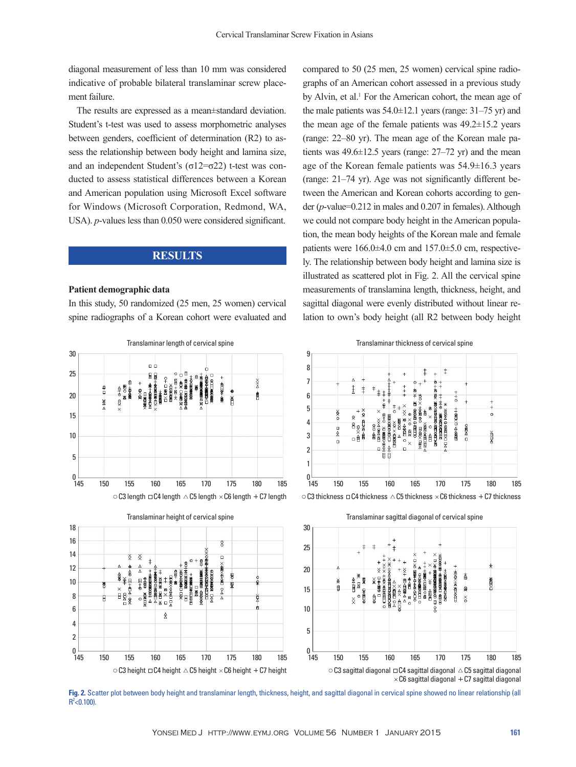diagonal measurement of less than 10 mm was considered indicative of probable bilateral translaminar screw placement failure.

The results are expressed as a mean±standard deviation. Student's t-test was used to assess morphometric analyses between genders, coefficient of determination (R2) to assess the relationship between body height and lamina size, and an independent Student's ( $σ12=σ22$ ) t-test was conducted to assess statistical differences between a Korean and American population using Microsoft Excel software for Windows (Microsoft Corporation, Redmond, WA, USA). *p*-values less than 0.050 were considered significant.

#### **RESULTS**

#### **Patient demographic data**

In this study, 50 randomized (25 men, 25 women) cervical spine radiographs of a Korean cohort were evaluated and

compared to 50 (25 men, 25 women) cervical spine radiographs of an American cohort assessed in a previous study by Alvin, et al.<sup>1</sup> For the American cohort, the mean age of the male patients was  $54.0\pm12.1$  years (range:  $31-75$  yr) and the mean age of the female patients was  $49.2 \pm 15.2$  years (range: 22‒80 yr). The mean age of the Korean male patients was  $49.6 \pm 12.5$  years (range:  $27-72$  yr) and the mean age of the Korean female patients was 54.9±16.3 years (range: 21‒74 yr). Age was not significantly different between the American and Korean cohorts according to gender (*p*-value=0.212 in males and 0.207 in females). Although we could not compare body height in the American population, the mean body heights of the Korean male and female patients were  $166.0\pm4.0$  cm and  $157.0\pm5.0$  cm, respectively. The relationship between body height and lamina size is illustrated as scattered plot in Fig. 2. All the cervical spine measurements of translamina length, thickness, height, and sagittal diagonal were evenly distributed without linear relation to own's body height (all R2 between body height



**Fig. 2.** Scatter plot between body height and translaminar length, thickness, height, and sagittal diagonal in cervical spine showed no linear relationship (all  $R^2$  < 0.100).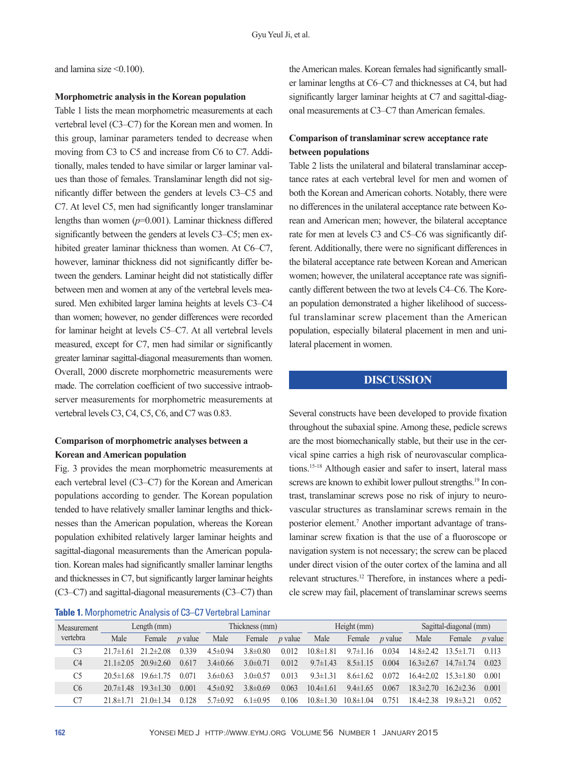and lamina size  $\leq 0.100$ ).

#### **Morphometric analysis in the Korean population**

Table 1 lists the mean morphometric measurements at each vertebral level (C3‒C7) for the Korean men and women. In this group, laminar parameters tended to decrease when moving from C3 to C5 and increase from C6 to C7. Additionally, males tended to have similar or larger laminar values than those of females. Translaminar length did not significantly differ between the genders at levels C3‒C5 and C7. At level C5, men had significantly longer translaminar lengths than women (*p*=0.001). Laminar thickness differed significantly between the genders at levels C3–C5; men exhibited greater laminar thickness than women. At C6–C7, however, laminar thickness did not significantly differ between the genders. Laminar height did not statistically differ between men and women at any of the vertebral levels measured. Men exhibited larger lamina heights at levels C3–C4 than women; however, no gender differences were recorded for laminar height at levels C5‒C7. At all vertebral levels measured, except for C7, men had similar or significantly greater laminar sagittal-diagonal measurements than women. Overall, 2000 discrete morphometric measurements were made. The correlation coefficient of two successive intraobserver measurements for morphometric measurements at vertebral levels C3, C4, C5, C6, and C7 was 0.83.

## **Comparison of morphometric analyses between a Korean and American population**

Fig. 3 provides the mean morphometric measurements at each vertebral level (C3–C7) for the Korean and American populations according to gender. The Korean population tended to have relatively smaller laminar lengths and thicknesses than the American population, whereas the Korean population exhibited relatively larger laminar heights and sagittal-diagonal measurements than the American population. Korean males had significantly smaller laminar lengths and thicknesses in C7, but significantly larger laminar heights (C3‒C7) and sagittal-diagonal measurements (C3‒C7) than

#### **Table 1.** Morphometric Analysis of C3–C7 Vertebral Laminar

the American males. Korean females had significantly smaller laminar lengths at C6‒C7 and thicknesses at C4, but had significantly larger laminar heights at C7 and sagittal-diagonal measurements at C3–C7 than American females.

# **Comparison of translaminar screw acceptance rate between populations**

Table 2 lists the unilateral and bilateral translaminar acceptance rates at each vertebral level for men and women of both the Korean and American cohorts. Notably, there were no differences in the unilateral acceptance rate between Korean and American men; however, the bilateral acceptance rate for men at levels C3 and C5–C6 was significantly different. Additionally, there were no significant differences in the bilateral acceptance rate between Korean and American women; however, the unilateral acceptance rate was significantly different between the two at levels C4‒C6. The Korean population demonstrated a higher likelihood of successful translaminar screw placement than the American population, especially bilateral placement in men and unilateral placement in women.

## **DISCUSSION**

Several constructs have been developed to provide fixation throughout the subaxial spine. Among these, pedicle screws are the most biomechanically stable, but their use in the cervical spine carries a high risk of neurovascular complications.15-18 Although easier and safer to insert, lateral mass screws are known to exhibit lower pullout strengths.<sup>19</sup> In contrast, translaminar screws pose no risk of injury to neurovascular structures as translaminar screws remain in the posterior element.<sup>7</sup> Another important advantage of translaminar screw fixation is that the use of a fluoroscope or navigation system is not necessary; the screw can be placed under direct vision of the outer cortex of the lamina and all relevant structures.12 Therefore, in instances where a pedicle screw may fail, placement of translaminar screws seems

| Measurement<br>vertebra | Length $(mm)$   |               |                | Thickness (mm) |                |                | Height (mm)     |                 |                | Sagittal-diagonal (mm) |                 |                |
|-------------------------|-----------------|---------------|----------------|----------------|----------------|----------------|-----------------|-----------------|----------------|------------------------|-----------------|----------------|
|                         | Male            | Female        | <i>p</i> value | Male           | Female         | <i>p</i> value | Male            | Female          | <i>p</i> value | Male                   | Female          | <i>p</i> value |
| C <sub>3</sub>          | $217\pm161$     | $212+208$     | 0 3 3 9        | $4.5 \pm 0.94$ | $3.8\pm 0.80$  | 0.012          | $10.8 \pm 1.81$ | $9.7\pm1.16$    | 0.034          | $14.8 \pm 2.42$        | $13.5 \pm 1.71$ | 0.113          |
| C <sub>4</sub>          | $211\pm2.05$    | $209\pm260$   | 0.617          | $3.4\pm 0.66$  | $3.0\pm 0.71$  | 0.012          | $9.7 \pm 1.43$  | $8.5 \pm 1.15$  | 0.004          | $163\pm2.67$           | $14.7 \pm 1.74$ | 0.023          |
| C <sub>5</sub>          | $20.5 \pm 1.68$ | $196 \pm 175$ | 0.071          | $3.6\pm0.63$   | 3 0 $\pm$ 0 57 | 0.013          | $9.3 \pm 1.31$  | 86±162          | 0.072          | $164\pm202$            | $15.3 \pm 1.80$ | 0.001          |
| C6                      | $207\pm148$     | $193 \pm 130$ | 0.001          | $4.5 \pm 0.92$ | $3.8\pm0.69$   | 0.063          | $10.4 \pm 1.61$ | $9.4 \pm 1.65$  | 0.067          | $183\pm2.70$           | $162\pm236$     | 0.001          |
| C7                      | 21.8+1          | 0±134         | 0.128          | $5.7 \pm 0.92$ | $6.1 \pm 0.95$ | 0.106          | $10.8 \pm 1.30$ | $10.8 \pm 1.04$ | 0.751          | 18.4±2.38              | $198\pm321$     | 0.052          |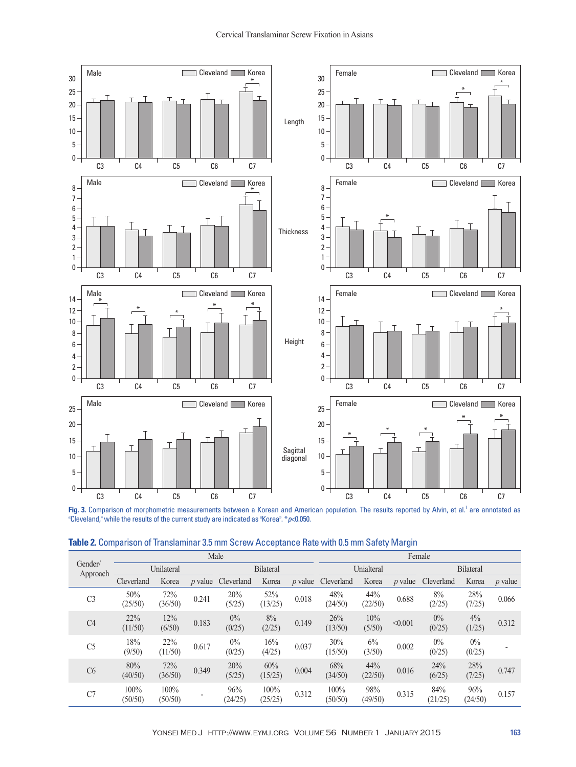

Fig. 3. Comparison of morphometric measurements between a Korean and American population. The results reported by Alvin, et al.<sup>1</sup> are annotated as "Cleveland," while the results of the current study are indicated as "Korea". \**p*<0.050.

| Gender/<br>Approach | Male            |                 |                |                 |                 |           | Female          |                |                |                  |                 |           |  |
|---------------------|-----------------|-----------------|----------------|-----------------|-----------------|-----------|-----------------|----------------|----------------|------------------|-----------------|-----------|--|
|                     | Unilateral      |                 |                | Bilateral       |                 |           | Unialteral      |                |                | <b>Bilateral</b> |                 |           |  |
|                     | Cleverland      | Korea           | <i>p</i> value | Cleverland      | Korea           | $p$ value | Cleverland      | Korea          | <i>p</i> value | Cleverland       | Korea           | $p$ value |  |
| C <sub>3</sub>      | 50%<br>(25/50)  | 72%<br>(36/50)  | 0.241          | 20%<br>(5/25)   | 52%<br>(13/25)  | 0.018     | 48%<br>(24/50)  | 44%<br>(22/50) | 0.688          | 8%<br>(2/25)     | 28%<br>(7/25)   | 0.066     |  |
| C <sub>4</sub>      | 22%<br>(11/50)  | 12%<br>(6/50)   | 0.183          | $0\%$<br>(0/25) | 8%<br>(2/25)    | 0.149     | 26%<br>(13/50)  | 10%<br>(5/50)  | < 0.001        | $0\%$<br>(0/25)  | 4%<br>(1/25)    | 0.312     |  |
| C <sub>5</sub>      | 18%<br>(9/50)   | 22%<br>(11/50)  | 0.617          | $0\%$<br>(0/25) | 16%<br>(4/25)   | 0.037     | 30%<br>(15/50)  | 6%<br>(3/50)   | 0.002          | $0\%$<br>(0/25)  | $0\%$<br>(0/25) |           |  |
| C6                  | 80%<br>(40/50)  | 72%<br>(36/50)  | 0.349          | 20%<br>(5/25)   | 60%<br>(15/25)  | 0.004     | 68%<br>(34/50)  | 44%<br>(22/50) | 0.016          | 24%<br>(6/25)    | 28%<br>(7/25)   | 0.747     |  |
| C7                  | 100%<br>(50/50) | 100%<br>(50/50) |                | 96%<br>(24/25)  | 100%<br>(25/25) | 0.312     | 100%<br>(50/50) | 98%<br>(49/50) | 0.315          | 84%<br>(21/25)   | 96%<br>(24/50)  | 0.157     |  |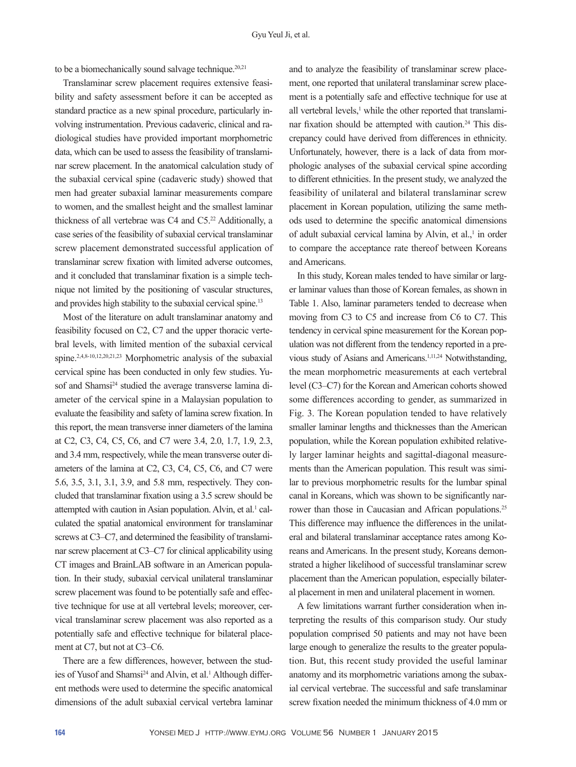to be a biomechanically sound salvage technique. $20,21$ 

Translaminar screw placement requires extensive feasibility and safety assessment before it can be accepted as standard practice as a new spinal procedure, particularly involving instrumentation. Previous cadaveric, clinical and radiological studies have provided important morphometric data, which can be used to assess the feasibility of translaminar screw placement. In the anatomical calculation study of the subaxial cervical spine (cadaveric study) showed that men had greater subaxial laminar measurements compare to women, and the smallest height and the smallest laminar thickness of all vertebrae was C4 and C5.22 Additionally, a case series of the feasibility of subaxial cervical translaminar screw placement demonstrated successful application of translaminar screw fixation with limited adverse outcomes, and it concluded that translaminar fixation is a simple technique not limited by the positioning of vascular structures, and provides high stability to the subaxial cervical spine.<sup>13</sup>

Most of the literature on adult translaminar anatomy and feasibility focused on C2, C7 and the upper thoracic vertebral levels, with limited mention of the subaxial cervical spine.2,4,8-10,12,20,21,23 Morphometric analysis of the subaxial cervical spine has been conducted in only few studies. Yusof and Shamsi<sup>24</sup> studied the average transverse lamina diameter of the cervical spine in a Malaysian population to evaluate the feasibility and safety of lamina screw fixation. In this report, the mean transverse inner diameters of the lamina at C2, C3, C4, C5, C6, and C7 were 3.4, 2.0, 1.7, 1.9, 2.3, and 3.4 mm, respectively, while the mean transverse outer diameters of the lamina at C2, C3, C4, C5, C6, and C7 were 5.6, 3.5, 3.1, 3.1, 3.9, and 5.8 mm, respectively. They concluded that translaminar fixation using a 3.5 screw should be attempted with caution in Asian population. Alvin, et al.<sup>1</sup> calculated the spatial anatomical environment for translaminar screws at C3–C7, and determined the feasibility of translaminar screw placement at C3–C7 for clinical applicability using CT images and BrainLAB software in an American population. In their study, subaxial cervical unilateral translaminar screw placement was found to be potentially safe and effective technique for use at all vertebral levels; moreover, cervical translaminar screw placement was also reported as a potentially safe and effective technique for bilateral placement at C7, but not at C3–C6.

There are a few differences, however, between the studies of Yusof and Shamsi<sup>24</sup> and Alvin, et al.<sup>1</sup> Although different methods were used to determine the specific anatomical dimensions of the adult subaxial cervical vertebra laminar

and to analyze the feasibility of translaminar screw placement, one reported that unilateral translaminar screw placement is a potentially safe and effective technique for use at all vertebral levels,<sup>1</sup> while the other reported that translaminar fixation should be attempted with caution.<sup>24</sup> This discrepancy could have derived from differences in ethnicity. Unfortunately, however, there is a lack of data from morphologic analyses of the subaxial cervical spine according to different ethnicities. In the present study, we analyzed the feasibility of unilateral and bilateral translaminar screw placement in Korean population, utilizing the same methods used to determine the specific anatomical dimensions of adult subaxial cervical lamina by Alvin, et al.,<sup>1</sup> in order to compare the acceptance rate thereof between Koreans and Americans.

In this study, Korean males tended to have similar or larger laminar values than those of Korean females, as shown in Table 1. Also, laminar parameters tended to decrease when moving from C3 to C5 and increase from C6 to C7. This tendency in cervical spine measurement for the Korean population was not different from the tendency reported in a previous study of Asians and Americans.1,11,24 Notwithstanding, the mean morphometric measurements at each vertebral level (C3‒C7) for the Korean and American cohorts showed some differences according to gender, as summarized in Fig. 3. The Korean population tended to have relatively smaller laminar lengths and thicknesses than the American population, while the Korean population exhibited relatively larger laminar heights and sagittal-diagonal measurements than the American population. This result was similar to previous morphometric results for the lumbar spinal canal in Koreans, which was shown to be significantly narrower than those in Caucasian and African populations.<sup>25</sup> This difference may influence the differences in the unilateral and bilateral translaminar acceptance rates among Koreans and Americans. In the present study, Koreans demonstrated a higher likelihood of successful translaminar screw placement than the American population, especially bilateral placement in men and unilateral placement in women.

A few limitations warrant further consideration when interpreting the results of this comparison study. Our study population comprised 50 patients and may not have been large enough to generalize the results to the greater population. But, this recent study provided the useful laminar anatomy and its morphometric variations among the subaxial cervical vertebrae. The successful and safe translaminar screw fixation needed the minimum thickness of 4.0 mm or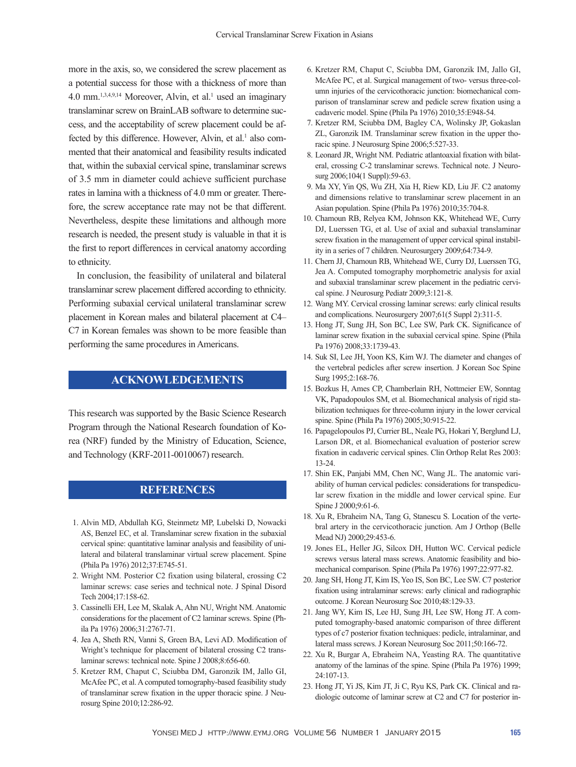more in the axis, so, we considered the screw placement as a potential success for those with a thickness of more than  $4.0$  mm.<sup>1,3,4,9,14</sup> Moreover, Alvin, et al.<sup>1</sup> used an imaginary translaminar screw on BrainLAB software to determine success, and the acceptability of screw placement could be affected by this difference. However, Alvin, et al.<sup>1</sup> also commented that their anatomical and feasibility results indicated that, within the subaxial cervical spine, translaminar screws of 3.5 mm in diameter could achieve sufficient purchase rates in lamina with a thickness of 4.0 mm or greater. Therefore, the screw acceptance rate may not be that different. Nevertheless, despite these limitations and although more research is needed, the present study is valuable in that it is the first to report differences in cervical anatomy according to ethnicity.

In conclusion, the feasibility of unilateral and bilateral translaminar screw placement differed according to ethnicity. Performing subaxial cervical unilateral translaminar screw placement in Korean males and bilateral placement at C4‒ C7 in Korean females was shown to be more feasible than performing the same procedures in Americans.

# **ACKNOWLEDGEMENTS**

This research was supported by the Basic Science Research Program through the National Research foundation of Korea (NRF) funded by the Ministry of Education, Science, and Technology (KRF-2011-0010067) research.

# **REFERENCES**

- 1. Alvin MD, Abdullah KG, Steinmetz MP, Lubelski D, Nowacki AS, Benzel EC, et al. Translaminar screw fixation in the subaxial cervical spine: quantitative laminar analysis and feasibility of unilateral and bilateral translaminar virtual screw placement. Spine (Phila Pa 1976) 2012;37:E745-51.
- 2. Wright NM. Posterior C2 fixation using bilateral, crossing C2 laminar screws: case series and technical note. J Spinal Disord Tech 2004;17:158-62.
- 3. Cassinelli EH, Lee M, Skalak A, Ahn NU, Wright NM. Anatomic considerations for the placement of C2 laminar screws. Spine (Phila Pa 1976) 2006;31:2767-71.
- 4. Jea A, Sheth RN, Vanni S, Green BA, Levi AD. Modification of Wright's technique for placement of bilateral crossing C2 translaminar screws: technical note. Spine J 2008;8:656-60.
- 5. Kretzer RM, Chaput C, Sciubba DM, Garonzik IM, Jallo GI, McAfee PC, et al. A computed tomography-based feasibility study of translaminar screw fixation in the upper thoracic spine. J Neurosurg Spine 2010;12:286-92.
- 6. Kretzer RM, Chaput C, Sciubba DM, Garonzik IM, Jallo GI, McAfee PC, et al. Surgical management of two- versus three-column injuries of the cervicothoracic junction: biomechanical comparison of translaminar screw and pedicle screw fixation using a cadaveric model. Spine (Phila Pa 1976) 2010;35:E948-54.
- 7. Kretzer RM, Sciubba DM, Bagley CA, Wolinsky JP, Gokaslan ZL, Garonzik IM. Translaminar screw fixation in the upper thoracic spine. J Neurosurg Spine 2006;5:527-33.
- 8. Leonard JR, Wright NM. Pediatric atlantoaxial fixation with bilateral, crossing C-2 translaminar screws. Technical note. J Neurosurg 2006;104(1 Suppl):59-63.
- 9. Ma XY, Yin QS, Wu ZH, Xia H, Riew KD, Liu JF. C2 anatomy and dimensions relative to translaminar screw placement in an Asian population. Spine (Phila Pa 1976) 2010;35:704-8.
- 10. Chamoun RB, Relyea KM, Johnson KK, Whitehead WE, Curry DJ, Luerssen TG, et al. Use of axial and subaxial translaminar screw fixation in the management of upper cervical spinal instability in a series of 7 children. Neurosurgery 2009;64:734-9.
- 11. Chern JJ, Chamoun RB, Whitehead WE, Curry DJ, Luerssen TG, Jea A. Computed tomography morphometric analysis for axial and subaxial translaminar screw placement in the pediatric cervical spine. J Neurosurg Pediatr 2009;3:121-8.
- 12. Wang MY. Cervical crossing laminar screws: early clinical results and complications. Neurosurgery 2007;61(5 Suppl 2):311-5.
- 13. Hong JT, Sung JH, Son BC, Lee SW, Park CK. Significance of laminar screw fixation in the subaxial cervical spine. Spine (Phila Pa 1976) 2008;33:1739-43.
- 14. Suk SI, Lee JH, Yoon KS, Kim WJ. The diameter and changes of the vertebral pedicles after screw insertion. J Korean Soc Spine Surg 1995;2:168-76.
- 15. Bozkus H, Ames CP, Chamberlain RH, Nottmeier EW, Sonntag VK, Papadopoulos SM, et al. Biomechanical analysis of rigid stabilization techniques for three-column injury in the lower cervical spine. Spine (Phila Pa 1976) 2005;30:915-22.
- 16. Papagelopoulos PJ, Currier BL, Neale PG, Hokari Y, Berglund LJ, Larson DR, et al. Biomechanical evaluation of posterior screw fixation in cadaveric cervical spines. Clin Orthop Relat Res 2003: 13-24.
- 17. Shin EK, Panjabi MM, Chen NC, Wang JL. The anatomic variability of human cervical pedicles: considerations for transpedicular screw fixation in the middle and lower cervical spine. Eur Spine J 2000;9:61-6.
- 18. Xu R, Ebraheim NA, Tang G, Stanescu S. Location of the vertebral artery in the cervicothoracic junction. Am J Orthop (Belle Mead NJ) 2000;29:453-6.
- 19. Jones EL, Heller JG, Silcox DH, Hutton WC. Cervical pedicle screws versus lateral mass screws. Anatomic feasibility and biomechanical comparison. Spine (Phila Pa 1976) 1997;22:977-82.
- 20. Jang SH, Hong JT, Kim IS, Yeo IS, Son BC, Lee SW. C7 posterior fixation using intralaminar screws: early clinical and radiographic outcome. J Korean Neurosurg Soc 2010;48:129-33.
- 21. Jang WY, Kim IS, Lee HJ, Sung JH, Lee SW, Hong JT. A computed tomography-based anatomic comparison of three different types of c7 posterior fixation techniques: pedicle, intralaminar, and lateral mass screws. J Korean Neurosurg Soc 2011;50:166-72.
- 22. Xu R, Burgar A, Ebraheim NA, Yeasting RA. The quantitative anatomy of the laminas of the spine. Spine (Phila Pa 1976) 1999; 24:107-13.
- 23. Hong JT, Yi JS, Kim JT, Ji C, Ryu KS, Park CK. Clinical and radiologic outcome of laminar screw at C2 and C7 for posterior in-